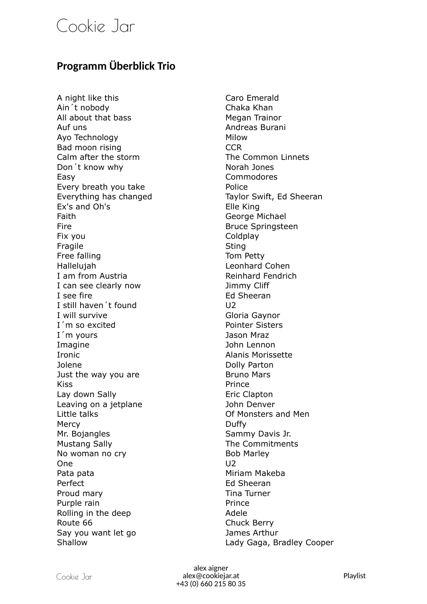## Cookie Jar

## **Programm Überblick Trio**

A night like this Caro Emerald Ain´t nobody Chaka Khan All about that bass Megan Trainor Auf uns **Andreas Burani** Ayo Technology Milow Bad moon rising The CCR CCR Calm after the storm The Common Linnets Don't know why Norah Jones Easy Commodores Every breath you take **Police** Police Everything has changed Taylor Swift, Ed Sheeran Ex's and Oh's Elle King Faith **Faith** George Michael Fire **Bruce Springsteen** Fix you contain the contract of the Coldplay Fragile Sting Free falling Tom Petty Hallelujah Leonhard Cohen I am from Austria **Reinhard Fendrich** I can see clearly now Timmy Cliff I see fire **Ed Sheeran** I still haven't found U2 I will survive Gloria Gaynor I'm so excited **Pointer Sisters** I´m yours Jason Mraz Imagine **Imagine** John Lennon Ironic **Alanis Morissette** Jolene Dolly Parton Just the way you are **Bruno Mars** Kiss **Prince** Lay down Sally **Example 2** Eric Clapton Leaving on a jetplane and the South Denver Little talks Of Monsters and Men Mercy **Duffy** Mr. Bojangles Sammy Davis Jr. Mustang Sally **The Commitments** No woman no cry and the state of the Bob Marley One U2 Pata pata **Miriam Makeba** Perfect **Ed Sheeran** Proud mary **Tina Turner** Proud mary Purple rain **Prince** Rolling in the deep Adele Route 66 Chuck Berry Say you want let go Say Sames Arthur Shallow Lady Gaga, Bradley Cooper